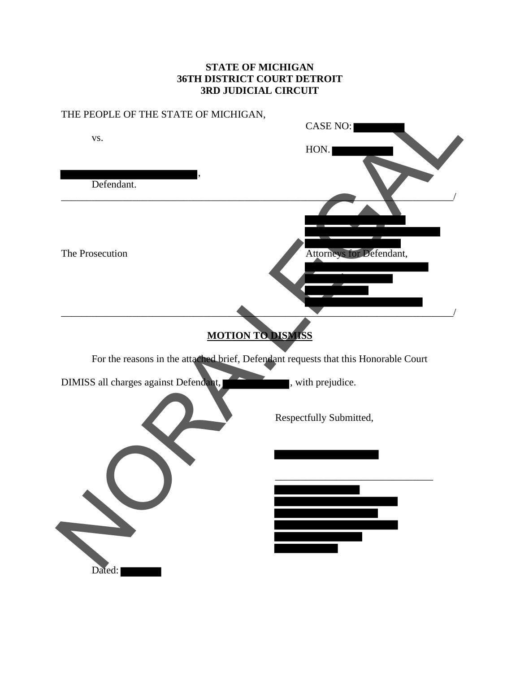#### **STATE OF MICHIGAN 36TH DISTRICT COURT DETROIT 3RD JUDICIAL CIRCUIT**

# THE PEOPLE OF THE STATE OF MICHIGAN, CASE NO: vs. HON. , Defendant. \_\_\_\_\_\_\_\_\_\_\_\_\_\_\_\_\_\_\_\_\_\_\_\_\_\_\_\_\_\_\_\_\_\_\_\_\_\_\_\_\_\_\_\_\_\_\_\_\_\_\_\_\_\_\_\_\_\_\_\_\_\_\_\_\_\_\_\_\_\_\_\_\_\_\_\_\_/ The Prosecution **Attorneys** for Defendant, \_\_\_\_\_\_\_\_\_\_\_\_\_\_\_\_\_\_\_\_\_\_\_\_\_\_\_\_\_\_\_\_\_\_\_\_\_\_\_\_\_\_\_\_\_\_\_\_\_\_\_\_\_\_\_\_\_\_\_\_\_\_\_\_\_\_\_\_\_\_\_\_\_\_\_\_\_/ **MOTION TO DISMISS** For the reasons in the attached brief, Defendant requests that this Honorable Court DIMISS all charges against Defendant, with prejudice. Respectfully Submitted, \_\_\_\_\_\_\_\_\_\_\_\_\_\_\_\_\_\_\_\_\_\_\_\_\_\_\_\_\_\_\_ Dated: THE PEOPLE OF THE STATE OF MICHIGAN.<br>
VS.<br>
Defendant.<br>
The Prosecution<br>
Tor the reasons in the attendance and the limit of Defendant requests that this Honorable Court<br>
DMMSS all charges against Defendant requests that thi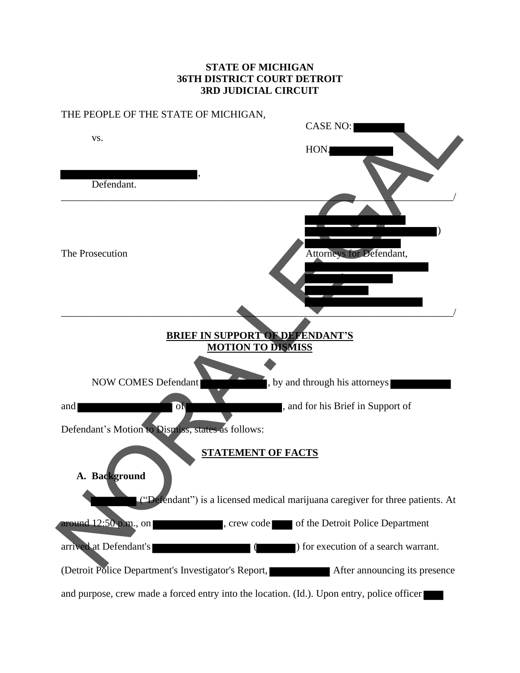#### **STATE OF MICHIGAN 36TH DISTRICT COURT DETROIT 3RD JUDICIAL CIRCUIT**

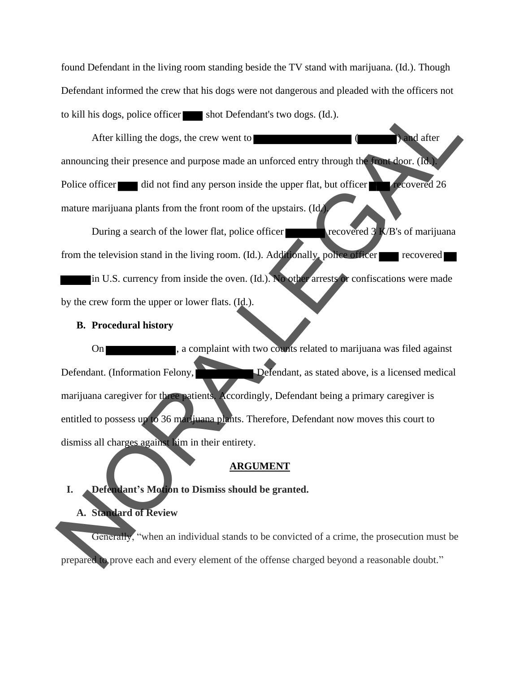found Defendant in the living room standing beside the TV stand with marijuana. (Id.). Though Defendant informed the crew that his dogs were not dangerous and pleaded with the officers not to kill his dogs, police officer shot Defendant's two dogs. (Id.).

After killing the dogs, the crew went to  $\blacksquare$  ( ) and after announcing their presence and purpose made an unforced entry through the front door. (Id.). Police officer did not find any person inside the upper flat, but officer recovered 26 mature marijuana plants from the front room of the upstairs. (Id.).

During a search of the lower flat, police officer recovered  $3$  K/B's of marijuana from the television stand in the living room.  $(Id.)$ . Additionally, police officer recovered in U.S. currency from inside the oven. (Id.). No other arrests or confiscations were made by the crew form the upper or lower flats. (Id.).

#### **B. Procedural history**

On **Example 1**, a complaint with two counts related to marijuana was filed against Defendant. (Information Felony, Defendant, as stated above, is a licensed medical marijuana caregiver for three patients. Accordingly, Defendant being a primary caregiver is entitled to possess up to 36 marijuana plants. Therefore, Defendant now moves this court to dismiss all charges against him in their entirety. To kill his dogs, police officer saids to be forefariats two dogs. (Id.).<br>
After killing the dogs, the crew went to same an unioned entry through the state door. (In a<br>
anouncing their presence and purpose made an unioned

#### **ARGUMENT**

#### **I. Defendant's Motion to Dismiss should be granted.**

#### **A. Standard of Review**

Generally, "when an individual stands to be convicted of a crime, the prosecution must be prepared to prove each and every element of the offense charged beyond a reasonable doubt."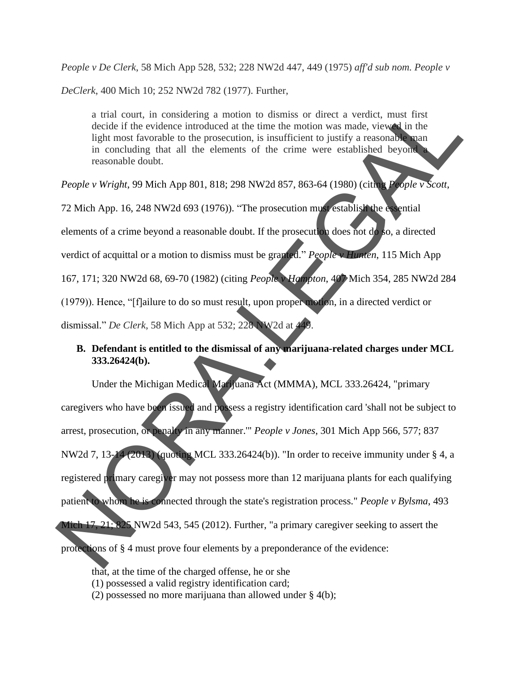*People v De Clerk*, 58 Mich App 528, 532; 228 NW2d 447, 449 (1975) *aff'd sub nom. People v* 

*DeClerk*, 400 Mich 10; 252 NW2d 782 (1977). Further,

a trial court, in considering a motion to dismiss or direct a verdict, must first decide if the evidence introduced at the time the motion was made, viewed in the light most favorable to the prosecution, is insufficient to justify a reasonable man in concluding that all the elements of the crime were established beyond a reasonable doubt.

*People v Wright*, 99 Mich App 801, 818; 298 NW2d 857, 863-64 (1980) (citing *People v Scott*,

72 Mich App. 16, 248 NW2d 693 (1976)). "The prosecution must establish the essential elements of a crime beyond a reasonable doubt. If the prosecution does not do so, a directed verdict of acquittal or a motion to dismiss must be granted." *People v Hunten*, 115 Mich App 167, 171; 320 NW2d 68, 69-70 (1982) (citing *People v Hampton*, 407 Mich 354, 285 NW2d 284 (1979)). Hence, "[f]ailure to do so must result, upon proper motion, in a directed verdict or dismissal." *De Clerk*, 58 Mich App at 532; 228 NW2d at 449.

#### **B. Defendant is entitled to the dismissal of any marijuana-related charges under MCL 333.26424(b).**

Under the Michigan Medical Marijuana Act (MMMA), MCL 333.26424, "primary caregivers who have been issued and possess a registry identification card 'shall not be subject to arrest, prosecution, or penalty in any manner.'" *People v Jones*, 301 Mich App 566, 577; 837 NW2d 7, 13-14 (2013) (quoting MCL 333.26424(b)). "In order to receive immunity under § 4, a registered primary caregiver may not possess more than 12 marijuana plants for each qualifying patient to whom he is connected through the state's registration process." *People v Bylsma*, 493 Mich 17, 21; 825 NW2d 543, 545 (2012). Further, "a primary caregiver seeking to assert the a trial court, in considering a motion to dismiss or direct a verdict, must first election if the evidence introduced at the time medion was made. view and the motion of the time more established beyond in concluding that

protections of § 4 must prove four elements by a preponderance of the evidence:

- that, at the time of the charged offense, he or she
- (1) possessed a valid registry identification card;
- (2) possessed no more marijuana than allowed under § 4(b);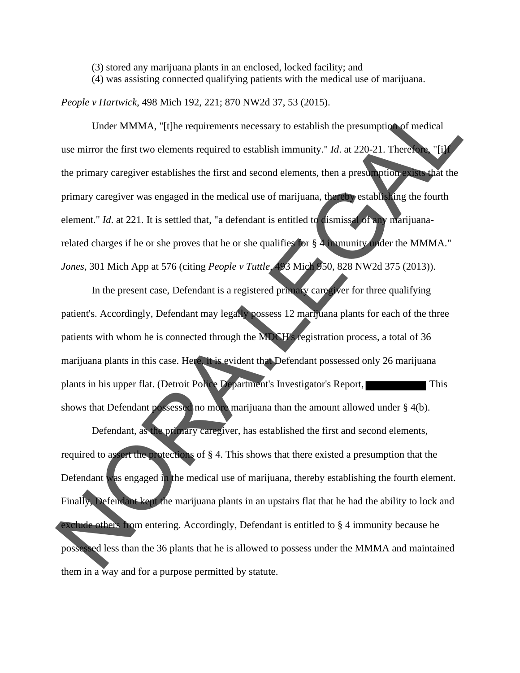(3) stored any marijuana plants in an enclosed, locked facility; and

(4) was assisting connected qualifying patients with the medical use of marijuana.

*People v Hartwick*, 498 Mich 192, 221; 870 NW2d 37, 53 (2015).

Under MMMA, "[t]he requirements necessary to establish the presumption of medical use mirror the first two elements required to establish immunity." *Id.* at 220-21. Therefore, "[i] the primary caregiver establishes the first and second elements, then a presumption exists that the primary caregiver was engaged in the medical use of marijuana, thereby establishing the fourth element." *Id.* at 221. It is settled that, "a defendant is entitled to dismissal of any marijuanarelated charges if he or she proves that he or she qualifies for § 4 immunity under the MMMA." *Jones*, 301 Mich App at 576 (citing *People v Tuttle,* 493 Mich 950, 828 NW2d 375 (2013)). People v Hartwick, 498 Mich 192, 221; 870 NW2d 37, 53 (2015).<br>
Under NMMA, "[Ule requirements accessary to establish the presumption of medical<br>
use mirror the first two olements required to establish immunity." Id. at 22

In the present case, Defendant is a registered primary caregiver for three qualifying patient's. Accordingly, Defendant may legally possess 12 marijuana plants for each of the three patients with whom he is connected through the MDCH's registration process, a total of 36 marijuana plants in this case. Here, it is evident that Defendant possessed only 26 marijuana plants in his upper flat. (Detroit Police Department's Investigator's Report, shows that Defendant possessed no more marijuana than the amount allowed under § 4(b).

Defendant, as the primary caregiver, has established the first and second elements, required to assert the protections of § 4. This shows that there existed a presumption that the Defendant was engaged in the medical use of marijuana, thereby establishing the fourth element. Finally, Defendant kept the marijuana plants in an upstairs flat that he had the ability to lock and exclude others from entering. Accordingly, Defendant is entitled to § 4 immunity because he possessed less than the 36 plants that he is allowed to possess under the MMMA and maintained them in a way and for a purpose permitted by statute .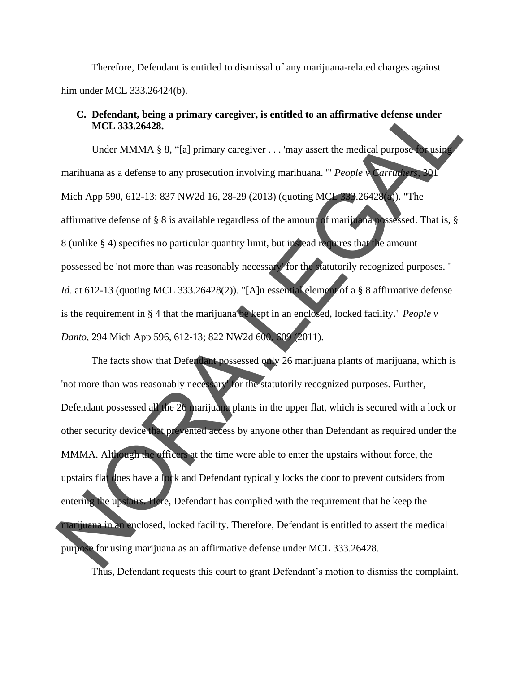Therefore, Defendant is entitled to dismissal of any marijuana-related charges against him under MCL 333.26424(b).

#### **C. Defendant, being a primary caregiver, is entitled to an affirmative defense under MCL 333.26428.**

Under MMMA § 8, "[a] primary caregiver . . . 'may assert the medical purpose for using marihuana as a defense to any prosecution involving marihuana. '" *People v Carruthers*, 301 Mich App 590, 612-13; 837 NW2d 16, 28-29 (2013) (quoting MCL 333.26428(a)). "The affirmative defense of § 8 is available regardless of the amount of marijuana possessed. That is, § 8 (unlike § 4) specifies no particular quantity limit, but instead requires that the amount possessed be 'not more than was reasonably necessary' for the statutorily recognized purposes. " *Id.* at 612-13 (quoting MCL 333.26428(2)). "[A]n essential element of a § 8 affirmative defense is the requirement in § 4 that the marijuana be kept in an enclosed, locked facility." *People v Danto*, 294 Mich App 596, 612-13; 822 NW2d 600, 609 (2011).

The facts show that Defendant possessed only 26 marijuana plants of marijuana, which is 'not more than was reasonably necessary' for the statutorily recognized purposes. Further, Defendant possessed all the 26 marijuana plants in the upper flat, which is secured with a lock or other security device that prevented access by anyone other than Defendant as required under the MMMA. Although the officers at the time were able to enter the upstairs without force, the upstairs flat does have a lock and Defendant typically locks the door to prevent outsiders from entering the upstairs. Here, Defendant has complied with the requirement that he keep the marijuana in an enclosed, locked facility. Therefore, Defendant is entitled to assert the medical purpose for using marijuana as an affirmative defense under MCL 333.26428. Thus, Defendant requests this court to grant Defendant's motion to dismiss the complaint.C. Defendant, being a primary caregiver, is entitled to an affirmative defense under<br>MCL 333.26428.<br>Under MMMA § 8, "[al primary caregiver ... may assert the medical purpose and<br>marihuana as a defense to any prosecution i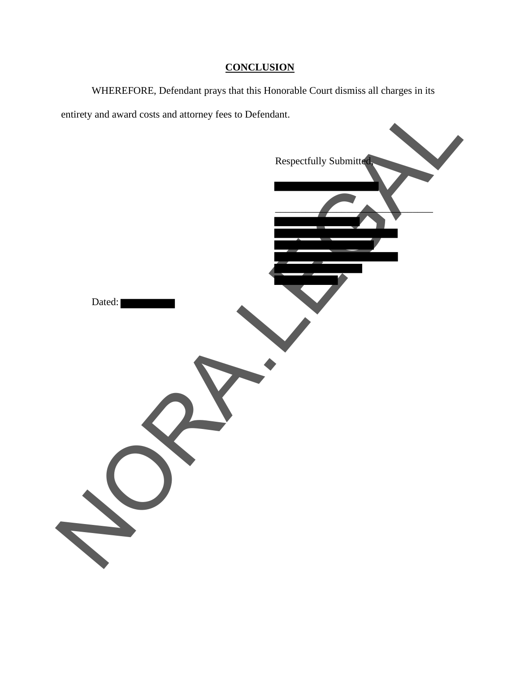### **CONCLUSION**

WHEREFORE, Defendant prays that this Honorable Court dismiss all charges in its entirety and award costs and attorney fees to Defendant.